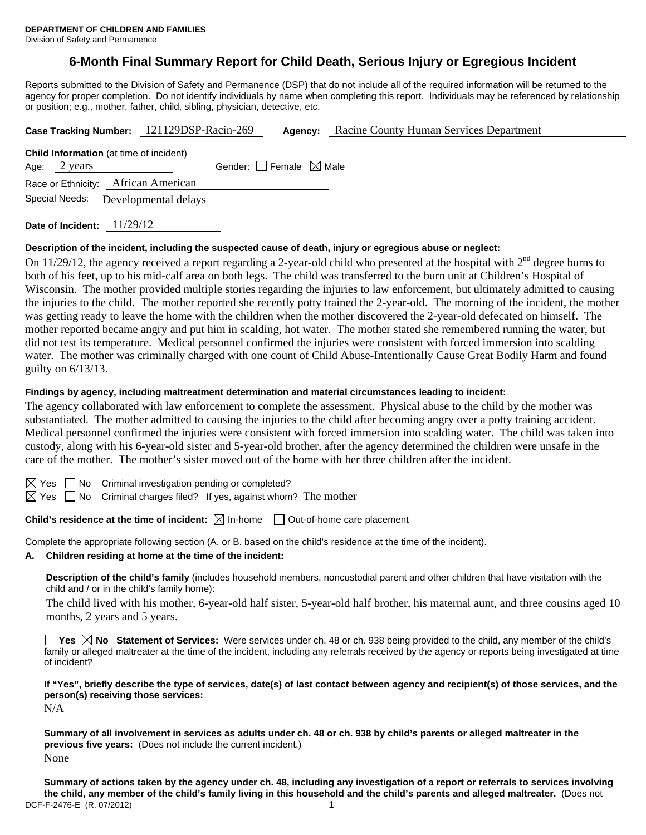# **6-Month Final Summary Report for Child Death, Serious Injury or Egregious Incident**

Reports submitted to the Division of Safety and Permanence (DSP) that do not include all of the required information will be returned to the agency for proper completion. Do not identify individuals by name when completing this report. Individuals may be referenced by relationship or position; e.g., mother, father, child, sibling, physician, detective, etc.

|                                                                | Case Tracking Number: 121129DSP-Racin-269 | Agency: | Racine County Human Services Department |
|----------------------------------------------------------------|-------------------------------------------|---------|-----------------------------------------|
| <b>Child Information</b> (at time of incident)<br>Age: 2 years | Gender: Female $\boxtimes$ Male           |         |                                         |
| Race or Ethnicity: African American                            |                                           |         |                                         |
| Special Needs:                                                 | Developmental delays                      |         |                                         |

**Date of Incident:** 11/29/12

#### **Description of the incident, including the suspected cause of death, injury or egregious abuse or neglect:**

On 11/29/12, the agency received a report regarding a 2-year-old child who presented at the hospital with  $2<sup>nd</sup>$  degree burns to both of his feet, up to his mid-calf area on both legs. The child was transferred to the burn unit at Children's Hospital of Wisconsin. The mother provided multiple stories regarding the injuries to law enforcement, but ultimately admitted to causing the injuries to the child. The mother reported she recently potty trained the 2-year-old. The morning of the incident, the mother was getting ready to leave the home with the children when the mother discovered the 2-year-old defecated on himself. The mother reported became angry and put him in scalding, hot water. The mother stated she remembered running the water, but did not test its temperature. Medical personnel confirmed the injuries were consistent with forced immersion into scalding water. The mother was criminally charged with one count of Child Abuse-Intentionally Cause Great Bodily Harm and found guilty on 6/13/13.

#### **Findings by agency, including maltreatment determination and material circumstances leading to incident:**

The agency collaborated with law enforcement to complete the assessment. Physical abuse to the child by the mother was substantiated. The mother admitted to causing the injuries to the child after becoming angry over a potty training accident. Medical personnel confirmed the injuries were consistent with forced immersion into scalding water. The child was taken into custody, along with his 6-year-old sister and 5-year-old brother, after the agency determined the children were unsafe in the care of the mother. The mother's sister moved out of the home with her three children after the incident.

 $S \cap M$ o Criminal investigation pending or completed?

 $\boxtimes$  Yes  $\Box$  No Criminal charges filed? If yes, against whom? The mother

### **Child's residence at the time of incident:**  $\boxtimes$  In-home  $\Box$  Out-of-home care placement

Complete the appropriate following section (A. or B. based on the child's residence at the time of the incident).

**A. Children residing at home at the time of the incident:**

**Description of the child's family** (includes household members, noncustodial parent and other children that have visitation with the child and / or in the child's family home):

 The child lived with his mother, 6-year-old half sister, 5-year-old half brother, his maternal aunt, and three cousins aged 10 months, 2 years and 5 years.

**Yes No Statement of Services:** Were services under ch. 48 or ch. 938 being provided to the child, any member of the child's family or alleged maltreater at the time of the incident, including any referrals received by the agency or reports being investigated at time of incident?

**If "Yes", briefly describe the type of services, date(s) of last contact between agency and recipient(s) of those services, and the person(s) receiving those services:** 

N/A

**Summary of all involvement in services as adults under ch. 48 or ch. 938 by child's parents or alleged maltreater in the previous five years:** (Does not include the current incident.) None

DCF-F-2476-E (R. 07/2012) 1 **Summary of actions taken by the agency under ch. 48, including any investigation of a report or referrals to services involving the child, any member of the child's family living in this household and the child's parents and alleged maltreater.** (Does not